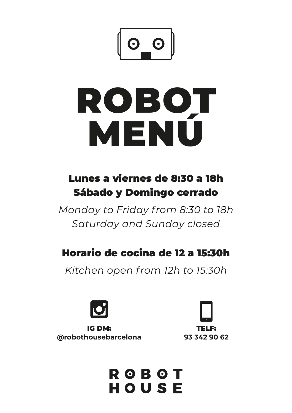

# ROBOT MENÚ

# Lunes a viernes de 8:30 a 18h Sábado y Domingo cerrado

*Monday to Friday from 8:30 to 18h Saturday and Sunday closed*

## Horario de cocina de 12 a 15:30h

*Kitchen open from 12h to 15:30h*



IG DM: **@robothousebarcelona**



**ROBOT** HOUSE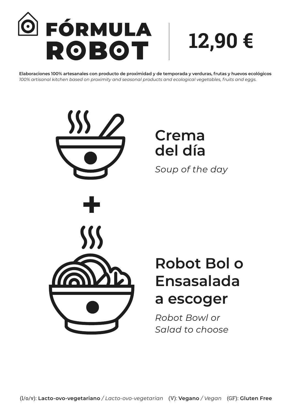

**12,90 €**

**Elaboraciones 100% artesanales con producto de proximidad y de temporada y verduras, frutas y huevos ecológicos**  *100% artisanal kitchen based on proximity and seasonal products and ecological vegetables, fruits and eggs.*

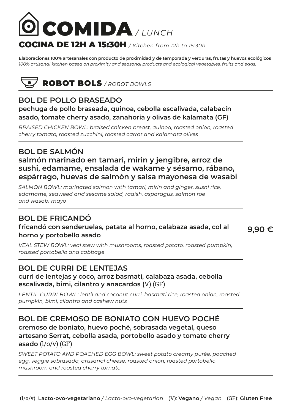

**Elaboraciones 100% artesanales con producto de proximidad y de temporada y verduras, frutas y huevos ecológicos**  *100% artisanal kitchen based on proximity and seasonal products and ecological vegetables, fruits and eggs.*



## **BOL DE POLLO BRASEADO**

#### **pechuga de pollo braseada, quinoa, cebolla escalivada, calabacín asado, tomate cherry asado, zanahoria y olivas de kalamata (GF)**

*BRAISED CHICKEN BOWL: braised chicken breast, quinoa, roasted onion, roasted cherry tomato, roasted zucchini, roasted carrot and kalamata olives*

## **BOL DE SALMÓN**

#### **salmón marinado en tamari, mirin y jengibre, arroz de sushi, edamame, ensalada de wakame y sésamo, rábano, espárrago, huevas de salmón y salsa mayonesa de wasabi**

*SALMON BOWL: marinated salmon with tamari, mirin and ginger, sushi rice, edamame, seaweed and sesame salad, radish, asparagus, salmon roe and wasabi mayo*

#### **BOL DE FRICANDÓ**

#### **fricandó con senderuelas, patata al horno, calabaza asada, col al horno y portobello asado**

**9,90 €**

*VEAL STEW BOWL: veal stew with mushrooms, roasted potato, roasted pumpkin, roasted portobello and cabbage*

#### **BOL DE CURRI DE LENTEJAS**

#### **curri de lentejas y coco, arroz basmati, calabaza asada, cebolla escalivada, bimi, cilantro y anacardos (**V) (GF)

*LENTIL CURRI BOWL: lentil and coconut curri, basmati rice, roasted onion, roasted pumpkin, bimi, cilantro and cashew nuts*

#### **BOL DE CREMOSO DE BONIATO CON HUEVO POCHÉ cremoso de boniato, huevo poché, sobrasada vegetal, queso artesano Serrat, cebolla asada, portobello asado y tomate cherry asado** (l/o/v) (GF)

*SWEET POTATO AND POACHED EGG BOWL: sweet potato creamy purée, poached egg, veggie sobrasada, artisanal cheese, roasted onion, roasted portobello mushroom and roasted cherry tomato*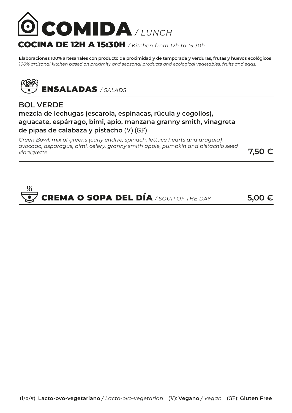

**Elaboraciones 100% artesanales con producto de proximidad y de temporada y verduras, frutas y huevos ecológicos**  *100% artisanal kitchen based on proximity and seasonal products and ecological vegetables, fruits and eggs.*



#### **BOL VERDE mezcla de lechugas (escarola, espinacas, rúcula y cogollos), aguacate, espárrago, bimi, apio, manzana granny smith, vinagreta de pipas de calabaza y pistacho** (V) (GF)

*Green Bowl: mix of greens (curly endive, spinach, lettuce hearts and arugula), avocado, asparagus, bimi, celery, granny smith apple, pumpkin and pistachio seed vinaigrette* **7,50 €**

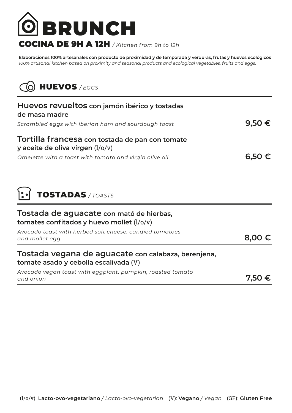

## COCINA DE 9H A 12H */ Kitchen from 9h to 12h*

**Elaboraciones 100% artesanales con producto de proximidad y de temporada y verduras, frutas y huevos ecológicos**  *100% artisanal kitchen based on proximity and seasonal products and ecological vegetables, fruits and eggs.*



| Huevos revueltos con jamón ibérico y tostadas<br>de masa madre                               |            |
|----------------------------------------------------------------------------------------------|------------|
| Scrambled eggs with iberian ham and sourdough toast                                          | 9,50 €     |
| Tortilla francesa con tostada de pan con tomate<br>y aceite de oliva virgen (1/0/v)          |            |
| Omelette with a toast with tomato and virgin olive oil                                       | $6,50 \in$ |
| <b>TOSTADAS</b> / TOASTS<br>Tostada de aguacate con mató de hierbas,                         |            |
| tomates confitados y huevo mollet $(l/O/v)$                                                  |            |
| Avocado toast with herbed soft cheese, candied tomatoes<br>and mollet egg                    | 8,00       |
| Tostada vegana de aguacate con calabaza, berenjena,<br>tomate asado y cebolla escalivada (V) |            |
| Avocado vegan toast with eggplant, pumpkin, roasted tomato<br>and onion                      | 7.50       |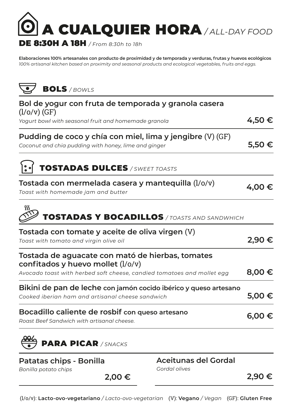

**Elaboraciones 100% artesanales con producto de proximidad y de temporada y verduras, frutas y huevos ecológicos**  *100% artisanal kitchen based on proximity and seasonal products and ecological vegetables, fruits and eggs.*



| Bol de yogur con fruta de temporada y granola casera<br>$(l/O/v)$ (GF)                                               |            |
|----------------------------------------------------------------------------------------------------------------------|------------|
| Yogurt bowl with seasonal fruit and homemade granola                                                                 | 4,50€      |
| Pudding de coco y chía con miel, lima y jengibre (V) (GF)<br>Coconut and chia pudding with honey, lime and ginger    | 5,50€      |
| <b>TOSTADAS DULCES</b> / SWEET TOASTS                                                                                |            |
| Tostada con mermelada casera y mantequilla (l/o/v)<br>Toast with homemade jam and butter                             | 4,00€      |
| <b>TOSTADAS Y BOCADILLOS</b> / TOASTS AND SANDWHICH                                                                  |            |
| Tostada con tomate y aceite de oliva virgen (V)<br>Toast with tomato and virgin olive oil                            | 2,90€      |
| Tostada de aguacate con mató de hierbas, tomates<br>confitados y huevo mollet $(l/O/v)$                              |            |
| Avocado toast with herbed soft cheese, candied tomatoes and mollet egg                                               | $8,00 \in$ |
| Bikini de pan de leche con jamón cocido ibérico y queso artesano<br>Cooked iberian ham and artisanal cheese sandwich | 5,00 €     |
| Bocadillo caliente de rosbif con queso artesano<br>Roast Beef Sandwich with artisanal cheese.                        | $6,00 \in$ |
| <b>PARA PICAR / SNACKS</b>                                                                                           |            |
|                                                                                                                      |            |

|  | Patatas chips - Bonilla |  |
|--|-------------------------|--|
|--|-------------------------|--|

**Aceitunas del Gordal** *Gordal olives*

**2,90 €**

*Bonilla potato chips*

**2,00 €**

(l/o/v): **Lacto-ovo-vegetariano** */ Lacto-ovo-vegetarian* (V): **Vegano** */ Vegan* (GF): **Gluten Free**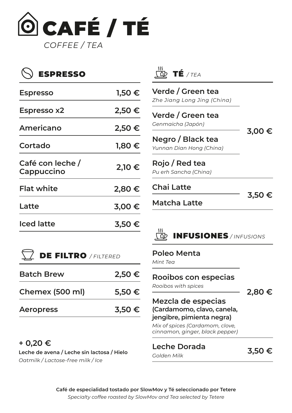

# ESPRESSO

| <b>Espresso</b>                | 1,50 €     |
|--------------------------------|------------|
| <b>Espresso x2</b>             | 2,50 €     |
| Americano                      | 2,50 €     |
| Cortado                        | $1,80 \in$ |
| Café con leche /<br>Cappuccino | 2,10 €     |
| <b>Flat white</b>              | 2,80€      |
| Latte                          | 3,00€      |
| <b>Iced latte</b>              | $3,50 \in$ |

DE FILTRO */ FILTERED*

**Batch Brew 2,50 €**

**Chemex (500 ml) 5,50 €**

**Aeropress 3,50 €**



## **Verde / Green tea** *Zhe Jiang Long Jing (China)* **3,00 € Verde / Green tea** *Genmaicha (Japón)* **Negro / Black tea** *Yunnan Dian Hong (China)*

**Rojo / Red tea** *Pu erh Sancha (China)*

**Chai Latte**

**3,50 €**

**Matcha Latte**

# INFUSIONES */ INFUSIONS*

#### **Poleo Menta**

*Mint Tea*

#### **Rooibos con especias**

*Rooibos with spices*

**2,80 €**

#### **Mezcla de especias (Cardamomo, clavo, canela, jengibre, pimienta negra)**

*Mix of spices (Cardamom, clove, cinnamon, ginger, black pepper)*

**Leche Dorada** *Golden Milk* **3,50 €**

#### **+ 0,20 €**

**Leche de avena / Leche sin lactosa / Hielo** *Oatmilk / Lactose-free milk / Ice*

> **Café de especialidad tostado por SlowMov y Té seleccionado por Tetere** *Specialty coffee roasted by SlowMov and Tea selected by Tetere*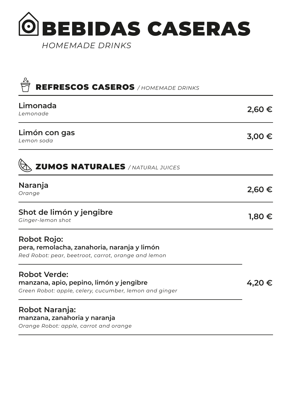

| <b>REFRESCOS CASEROS</b> / HOMEMADE DRINKS                                                                               |            |
|--------------------------------------------------------------------------------------------------------------------------|------------|
| Limonada<br>Lemonade                                                                                                     | $2,60 \in$ |
| Limón con gas<br>Lemon soda                                                                                              | $3,00 \in$ |
| <b>ZUMOS NATURALES / NATURAL JUICES</b>                                                                                  |            |
| Naranja<br>Orange                                                                                                        | 2,60 €     |
| Shot de limón y jengibre<br>Ginger-lemon shot                                                                            | 1,80 €     |
| <b>Robot Rojo:</b><br>pera, remolacha, zanahoria, naranja y limón<br>Red Robot: pear, beetroot, carrot, orange and lemon |            |
| <b>Robot Verde:</b><br>manzana, apio, pepino, limón y jengibre<br>Green Robot: apple, celery, cucumber, lemon and ginger | 4,20 €     |
| <b>Robot Naranja:</b><br>manzana, zanahoria y naranja                                                                    |            |

*Orange Robot: apple, carrot and orange*

 $\overline{O}$